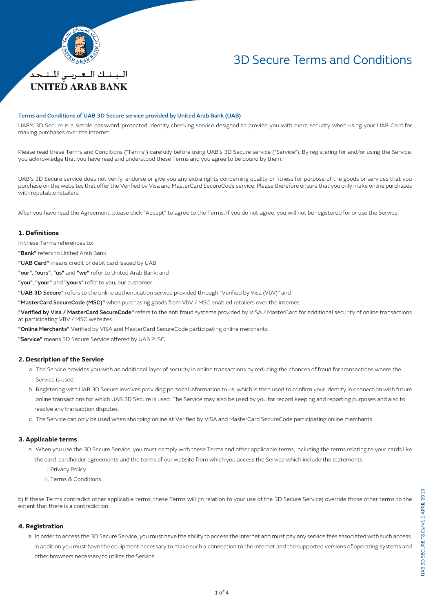

# 3D Secure Terms and Conditions

## Terms and Conditions of UAB 3D Secure service provided by United Arab Bank (UAB)

UAB's 3D Secure is a simple password-protected identity checking service designed to provide you with extra security when using your UAB Card for making purchases over the internet.

Please read these Terms and Conditions ("Terms") carefully before using UAB's 3D Secure service ("Service"). By registering for and/or using the Service, you acknowledge that you have read and understood these Terms and you agree to be bound by them.

UAB's 3D Secure service does not verify, endorse or give you any extra rights concerning quality or fitness for purpose of the goods or services that you purchase on the websites that offer the Verified by Visa and MasterCard SecureCode service. Please therefore ensure that you only make online purchases with reputable retailers.

After you have read the Agreement, please click "Accept" to agree to the Terms. If you do not agree, you will not be registered for or use the Service.

#### **1. Definitions**

In these Terms references to:

"Bank" refers to United Arab Bank

"UAB Card" means credit or debit card issued by UAB

"our", "ours", "us" and "we" refer to United Arab Bank; and

"you", "your" and "yours" refer to you, our customer.

"UAB 3D Secure" refers to the online authentication service provided through "Verified by Visa (VbV)" and

"MasterCard SecureCode (MSC)" when purchasing goods from VbV / MSC enabled retailers over the internet.

"Verified by Visa / MasterCard SecureCode" refers to the anti fraud systems provided by VISA / MasterCard for additional security of online transactions at participating VBV / MSC websites.

"Online Merchants" Verified by VISA and MasterCard SecureCode participating online merchants

"Service" means 3D Secure Service offered by UAB PJSC

#### **2. Description of the Service**

- a. The Service provides you with an additional layer of security in online transactions by reducing the chances of fraud for transactions where the Service is used.
- b. Registering with UAB 3D Secure involves providing personal information to us, which is then used to confirm your identity in connection with future online transactions for which UAB 3D Secure is used. The Service may also be used by you for record keeping and reporting purposes and also to resolve any transaction disputes.
- c. The Service can only be used when shopping online at Verified by VISA and MasterCard SecureCode participating online merchants.

#### **3. Applicable terms**

a. When you use the 3D Secure Service, you must comply with these Terms and other applicable terms, including the terms relating to your cards like

the card-cardholder agreements and the terms of our website from which you access the Service which include the statements:

i. Privacy Policy

ii. Terms & Conditions

b) If these Terms contradict other applicable terms, these Terms will (in relation to your use of the 3D Secure Service) override those other terms to the extent that there is a contradiction.

#### **4. Registration**

 a. In order to access the 3D Secure Service, you must have the ability to access the internet and must pay any service fees associated with such access. In addition you must have the equipment necessary to make such a connection to the Internet and the supported versions of operating systems and other browsers necessary to utilize the Service.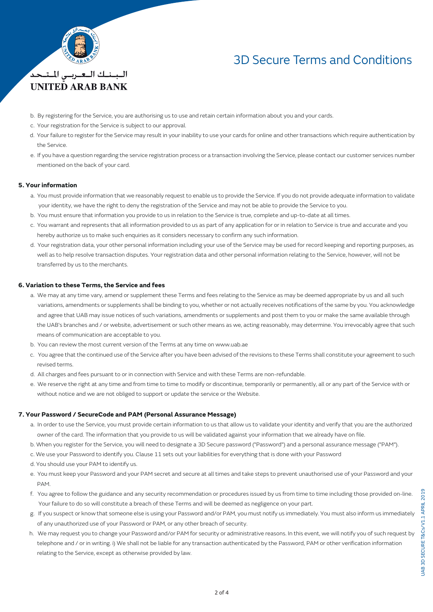

البينيك التعتريني المتنجد *UNITED ARAB BANK* 

# 3D Secure Terms and Conditions

- b. By registering for the Service, you are authorising us to use and retain certain information about you and your cards.
- c. Your registration for the Service is subject to our approval.
- d. Your failure to register for the Service may result in your inability to use your cards for online and other transactions which require authentication by the Service.
- e. If you have a question regarding the service registration process or a transaction involving the Service, please contact our customer services number mentioned on the back of your card.

### **5. Your information**

- a. You must provide information that we reasonably request to enable us to provide the Service. If you do not provide adequate information to validate your identity, we have the right to deny the registration of the Service and may not be able to provide the Service to you.
- b. You must ensure that information you provide to us in relation to the Service is true, complete and up-to-date at all times.
- c. You warrant and represents that all information provided to us as part of any application for or in relation to Service is true and accurate and you hereby authorize us to make such enquiries as it considers necessary to confirm any such information.
- d. Your registration data, your other personal information including your use of the Service may be used for record keeping and reporting purposes, as well as to help resolve transaction disputes. Your registration data and other personal information relating to the Service, however, will not be transferred by us to the merchants.

### **6. Variation to these Terms, the Service and fees**

- a. We may at any time vary, amend or supplement these Terms and fees relating to the Service as may be deemed appropriate by us and all such variations, amendments or supplements shall be binding to you, whether or not actually receives notifications of the same by you. You acknowledge and agree that UAB may issue notices of such variations, amendments or supplements and post them to you or make the same available through the UAB's branches and / or website, advertisement or such other means as we, acting reasonably, may determine. You irrevocably agree that such means of communication are acceptable to you.
- b. You can review the most current version of the Terms at any time on www.uab.ae
- c. You agree that the continued use of the Service after you have been advised of the revisions to these Terms shall constitute your agreement to such revised terms.
- d. All charges and fees pursuant to or in connection with Service and with these Terms are non-refundable.
- e. We reserve the right at any time and from time to time to modify or discontinue, temporarily or permanently, all or any part of the Service with or without notice and we are not obliged to support or update the service or the Website.

#### **7. Your Password / SecureCode and PAM (Personal Assurance Message)**

- a. In order to use the Service, you must provide certain information to us that allow us to validate your identity and verify that you are the authorized owner of the card. The information that you provide to us will be validated against your information that we already have on file.
- b. When you register for the Service, you will need to designate a 3D Secure password ("Password") and a personal assurance message ("PAM").
- c. We use your Password to identify you. Clause 11 sets out your liabilities for everything that is done with your Password
- d. You should use your PAM to identify us.
- e. You must keep your Password and your PAM secret and secure at all times and take steps to prevent unauthorised use of your Password and your PAM.
- f. You agree to follow the guidance and any security recommendation or procedures issued by us from time to time including those provided on-line. Your failure to do so will constitute a breach of these Terms and will be deemed as negligence on your part.
- g. If you suspect or know that someone else is using your Password and/or PAM, you must notify us immediately. You must also inform us immediately of any unauthorized use of your Password or PAM, or any other breach of security.
- h. We may request you to change your Password and/or PAM for security or administrative reasons. In this event, we will notify you of such request by telephone and / or in writing. i) We shall not be liable for any transaction authenticated by the Password, PAM or other verification information relating to the Service, except as otherwise provided by law.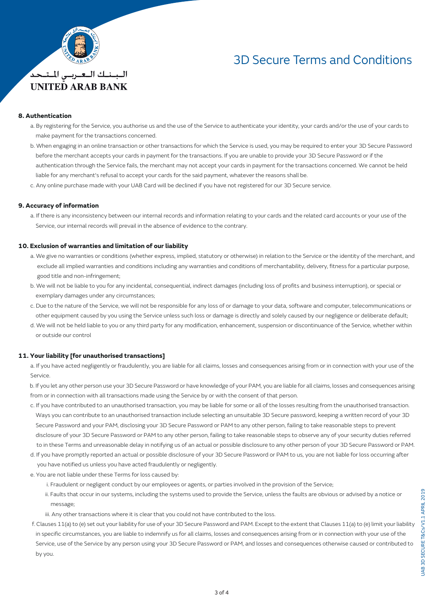

**UNITED ARAB BANK** 

# 3D Secure Terms and Conditions

# **8. Authentication**

- a. By registering for the Service, you authorise us and the use of the Service to authenticate your identity, your cards and/or the use of your cards to make payment for the transactions concerned.
- b. When engaging in an online transaction or other transactions for which the Service is used, you may be required to enter your 3D Secure Password before the merchant accepts your cards in payment for the transactions. If you are unable to provide your 3D Secure Password or if the authentication through the Service fails, the merchant may not accept your cards in payment for the transactions concerned. We cannot be held liable for any merchant's refusal to accept your cards for the said payment, whatever the reasons shall be.
- c. Any online purchase made with your UAB Card will be declined if you have not registered for our 3D Secure service.

### **9. Accuracy of information**

 a. If there is any inconsistency between our internal records and information relating to your cards and the related card accounts or your use of the Service, our internal records will prevail in the absence of evidence to the contrary.

### **10. Exclusion of warranties and limitation of our liability**

- a. We give no warranties or conditions (whether express, implied, statutory or otherwise) in relation to the Service or the identity of the merchant, and exclude all implied warranties and conditions including any warranties and conditions of merchantability, delivery, fitness for a particular purpose, good title and non-infringement;
- b. We will not be liable to you for any incidental, consequential, indirect damages (including loss of profits and business interruption), or special or exemplary damages under any circumstances;
- c. Due to the nature of the Service, we will not be responsible for any loss of or damage to your data, software and computer, telecommunications or other equipment caused by you using the Service unless such loss or damage is directly and solely caused by our negligence or deliberate default;
- d. We will not be held liable to you or any third party for any modification, enhancement, suspension or discontinuance of the Service, whether within or outside our control

### **11. Your liability [for unauthorised transactions]**

 a. If you have acted negligently or fraudulently, you are liable for all claims, losses and consequences arising from or in connection with your use of the Service.

 b. If you let any other person use your 3D Secure Password or have knowledge of your PAM, you are liable for all claims, losses and consequences arising from or in connection with all transactions made using the Service by or with the consent of that person.

- c. If you have contributed to an unauthorised transaction, you may be liable for some or all of the losses resulting from the unauthorised transaction. Ways you can contribute to an unauthorised transaction include selecting an unsuitable 3D Secure password, keeping a written record of your 3D Secure Password and your PAM, disclosing your 3D Secure Password or PAM to any other person, failing to take reasonable steps to prevent disclosure of your 3D Secure Password or PAM to any other person, failing to take reasonable steps to observe any of your security duties referred to in these Terms and unreasonable delay in notifying us of an actual or possible disclosure to any other person of your 3D Secure Password or PAM.
- d. If you have promptly reported an actual or possible disclosure of your 3D Secure Password or PAM to us, you are not liable for loss occurring after you have notified us unless you have acted fraudulently or negligently.
- e. You are not liable under these Terms for loss caused by:
	- i. Fraudulent or negligent conduct by our employees or agents, or parties involved in the provision of the Service;
	- ii. Faults that occur in our systems, including the systems used to provide the Service, unless the faults are obvious or advised by a notice or message;
	- iii. Any other transactions where it is clear that you could not have contributed to the loss.
- f. Clauses 11(a) to (e) set out your liability for use of your 3D Secure Password and PAM. Except to the extent that Clauses 11(a) to (e) limit your liability in specific circumstances, you are liable to indemnify us for all claims, losses and consequences arising from or in connection with your use of the Service, use of the Service by any person using your 3D Secure Password or PAM, and losses and consequences otherwise caused or contributed to by you.